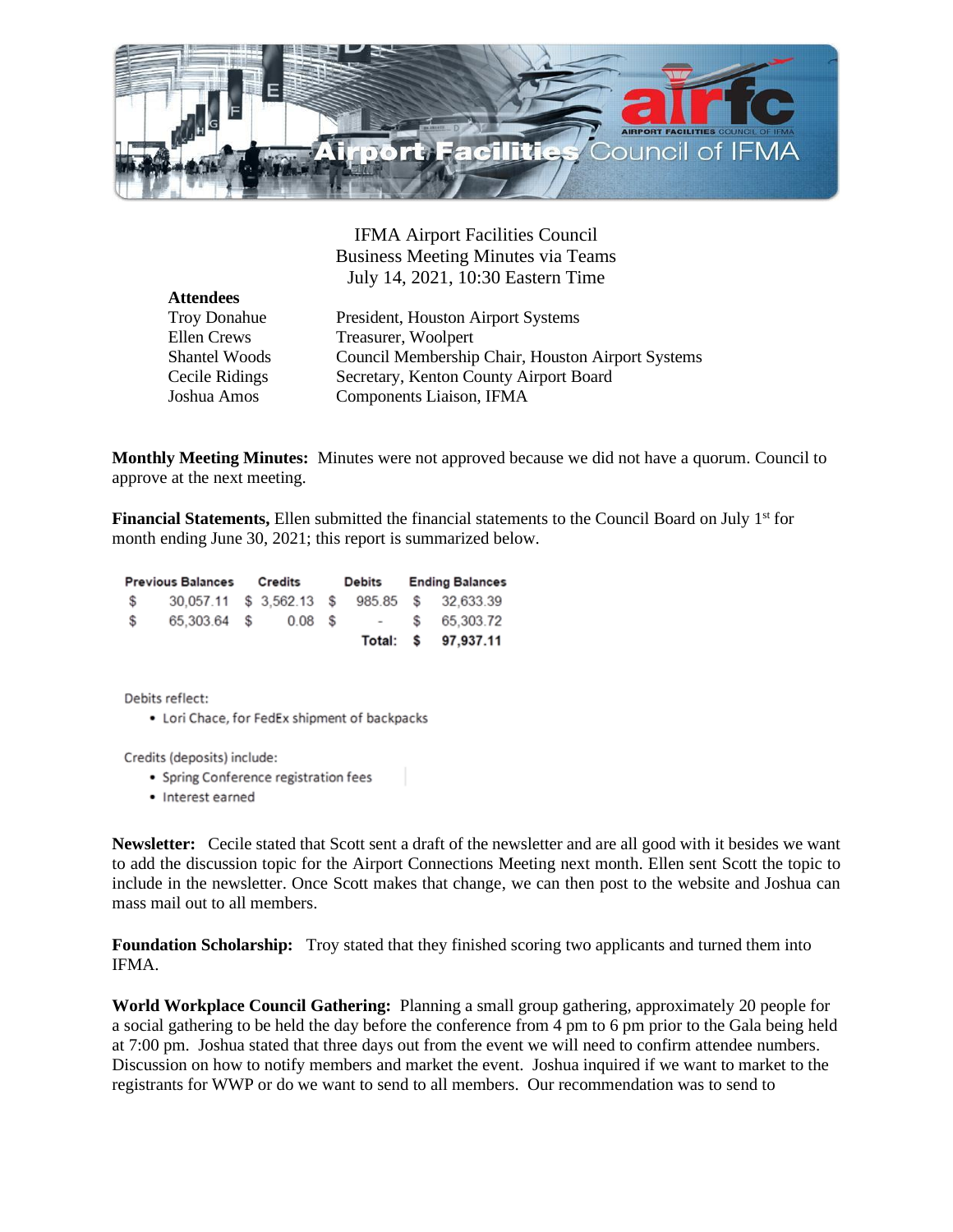

IFMA Airport Facilities Council Business Meeting Minutes via Teams July 14, 2021, 10:30 Eastern Time

**Attendees**

Troy Donahue President, Houston Airport Systems Ellen Crews Treasurer, Woolpert Shantel Woods Council Membership Chair, Houston Airport Systems Cecile Ridings Secretary, Kenton County Airport Board Joshua Amos Components Liaison, IFMA

**Monthly Meeting Minutes:** Minutes were not approved because we did not have a quorum. Council to approve at the next meeting.

Financial Statements, Ellen submitted the financial statements to the Council Board on July 1<sup>st</sup> for month ending June 30, 2021; this report is summarized below.

| <b>Previous Balances</b> |              | Credits |           | Debits |  | <b>Ending Balances</b> |                                              |
|--------------------------|--------------|---------|-----------|--------|--|------------------------|----------------------------------------------|
| S.                       |              |         |           |        |  |                        | 30.057.11 \$ 3.562.13 \$ 985.85 \$ 32.633.39 |
| S.                       | 65.303.64 \$ |         | $0.08$ \$ |        |  |                        | $-$ \$ 65.303.72                             |
|                          |              |         |           |        |  |                        | Total: \$ 97,937.11                          |

Debits reflect:

• Lori Chace, for FedEx shipment of backpacks

Credits (deposits) include:

- Spring Conference registration fees
- Interest earned

**Newsletter:** Cecile stated that Scott sent a draft of the newsletter and are all good with it besides we want to add the discussion topic for the Airport Connections Meeting next month. Ellen sent Scott the topic to include in the newsletter. Once Scott makes that change, we can then post to the website and Joshua can mass mail out to all members.

**Foundation Scholarship:** Troy stated that they finished scoring two applicants and turned them into IFMA.

**World Workplace Council Gathering:** Planning a small group gathering, approximately 20 people for a social gathering to be held the day before the conference from 4 pm to 6 pm prior to the Gala being held at 7:00 pm. Joshua stated that three days out from the event we will need to confirm attendee numbers. Discussion on how to notify members and market the event. Joshua inquired if we want to market to the registrants for WWP or do we want to send to all members. Our recommendation was to send to